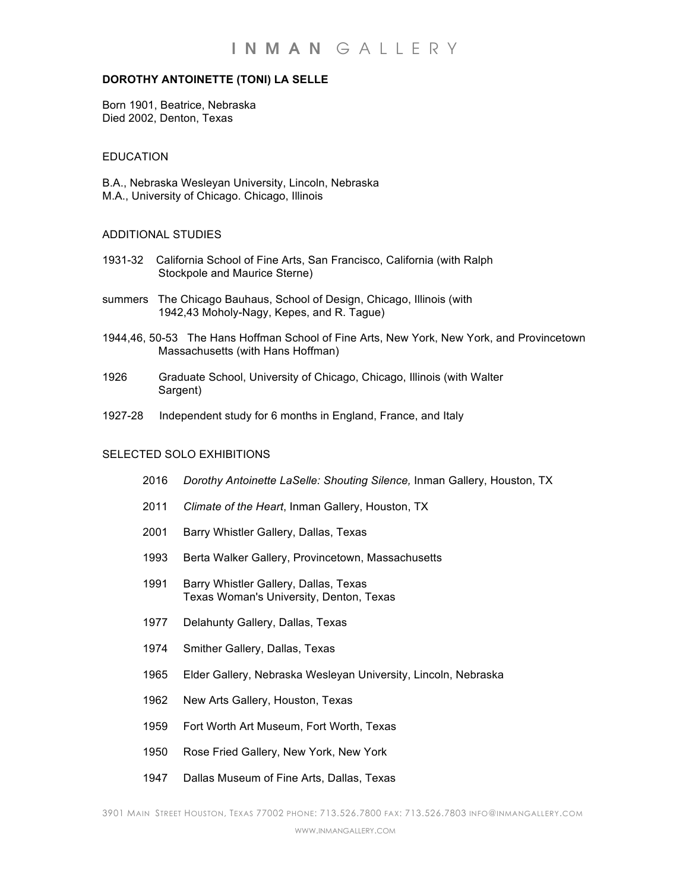# **DOROTHY ANTOINETTE (TONI) LA SELLE**

Born 1901, Beatrice, Nebraska Died 2002, Denton, Texas

## EDUCATION

B.A., Nebraska Wesleyan University, Lincoln, Nebraska M.A., University of Chicago. Chicago, Illinois

## ADDITIONAL STUDIES

- 1931-32 California School of Fine Arts, San Francisco, California (with Ralph Stockpole and Maurice Sterne)
- summers The Chicago Bauhaus, School of Design, Chicago, Illinois (with 1942,43 Moholy-Nagy, Kepes, and R. Tague)
- 1944,46, 50-53 The Hans Hoffman School of Fine Arts, New York, New York, and Provincetown Massachusetts (with Hans Hoffman)
- 1926 Graduate School, University of Chicago, Chicago, Illinois (with Walter Sargent)
- 1927-28 Independent study for 6 months in England, France, and Italy

## SELECTED SOLO EXHIBITIONS

- 2016 *Dorothy Antoinette LaSelle: Shouting Silence,* Inman Gallery, Houston, TX
- 2011 *Climate of the Heart*, Inman Gallery, Houston, TX
- 2001 Barry Whistler Gallery, Dallas, Texas
- 1993 Berta Walker Gallery, Provincetown, Massachusetts
- 1991 Barry Whistler Gallery, Dallas, Texas Texas Woman's University, Denton, Texas
- 1977 Delahunty Gallery, Dallas, Texas
- 1974 Smither Gallery, Dallas, Texas
- 1965 Elder Gallery, Nebraska Wesleyan University, Lincoln, Nebraska
- 1962 New Arts Gallery, Houston, Texas
- 1959 Fort Worth Art Museum, Fort Worth, Texas
- 1950 Rose Fried Gallery, New York, New York
- 1947 Dallas Museum of Fine Arts, Dallas, Texas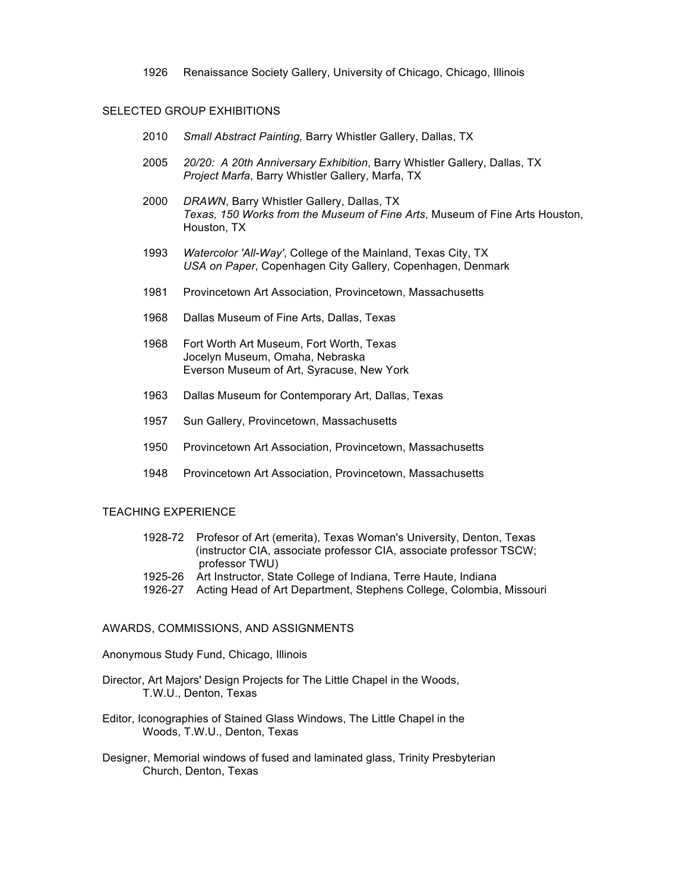1926 Renaissance Society Gallery, University of Chicago, Chicago, Illinois

### SELECTED GROUP EXHIBITIONS

- 2010 *Small Abstract Painting,* Barry Whistler Gallery, Dallas, TX
- 2005 *20/20: A 20th Anniversary Exhibition*, Barry Whistler Gallery, Dallas, TX *Project Marfa*, Barry Whistler Gallery, Marfa, TX
- 2000 *DRAWN*, Barry Whistler Gallery, Dallas, TX *Texas, 150 Works from the Museum of Fine Arts*, Museum of Fine Arts Houston, Houston, TX
- 1993 *Watercolor 'All-Way'*, College of the Mainland, Texas City, TX *USA on Paper*, Copenhagen City Gallery, Copenhagen, Denmark
- 1981 Provincetown Art Association, Provincetown, Massachusetts
- 1968 Dallas Museum of Fine Arts, Dallas, Texas
- 1968 Fort Worth Art Museum, Fort Worth, Texas Jocelyn Museum, Omaha, Nebraska Everson Museum of Art, Syracuse, New York
- 1963 Dallas Museum for Contemporary Art, Dallas, Texas
- 1957 Sun Gallery, Provincetown, Massachusetts
- 1950 Provincetown Art Association, Provincetown, Massachusetts
- 1948 Provincetown Art Association, Provincetown, Massachusetts

#### TEACHING EXPERIENCE

| 1928-72 Profesor of Art (emerita), Texas Woman's University, Denton, Texas |
|----------------------------------------------------------------------------|
| (instructor CIA, associate professor CIA, associate professor TSCW;        |
| professor TWU)                                                             |

- 1925-26 Art Instructor, State College of Indiana, Terre Haute, Indiana
- 1926-27 Acting Head of Art Department, Stephens College, Colombia, Missouri

## AWARDS, COMMISSIONS, AND ASSIGNMENTS

Anonymous Study Fund, Chicago, Illinois

- Director, Art Majors' Design Projects for The Little Chapel in the Woods, T.W.U., Denton, Texas
- Editor, Iconographies of Stained Glass Windows, The Little Chapel in the Woods, T.W.U., Denton, Texas
- Designer, Memorial windows of fused and laminated glass, Trinity Presbyterian Church, Denton, Texas